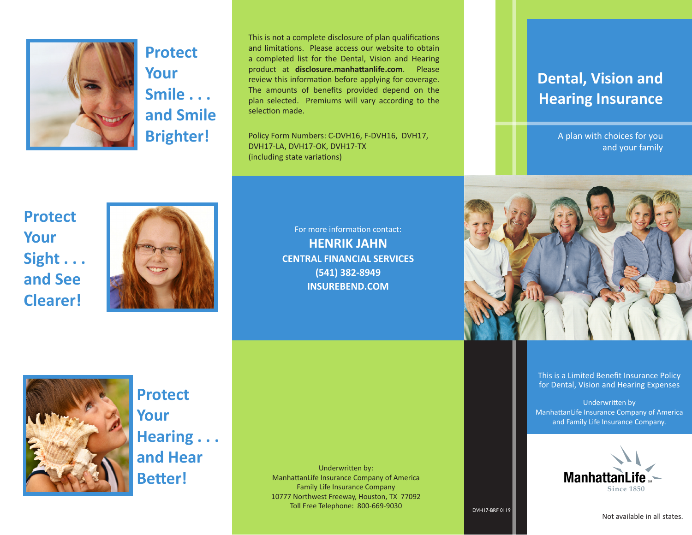

**Protect Your Smile . . . and Smile Brighter!**

This is not a complete disclosure of plan qualifications and limitations. Please access our website to obtain a completed list for the Dental, Vision and Hearing product at **disclosure.manhattanlife.com**. Please review this information before applying for coverage. The amounts of benefits provided depend on the plan selected. Premiums will vary according to the selection made.

Policy Form Numbers: C-DVH16, F-DVH16, DVH17, DVH17-LA, DVH17-OK, DVH17-TX (including state variations)

## **Dental, Vision and Hearing Insurance**

A plan with choices for you and your family



This is a Limited Benefit Insurance Policy for Dental, Vision and Hearing Expenses

Underwritten by ManhattanLife Insurance Company of America and Family Life Insurance Company.



DVH17-BRF 0119

# **Protect Your Sight . . . and See Clearer!**



For more information contact: **HENRIK JAHN CENTRAL FINANCIAL SERVICES (541) 382-8949 INSUREBEND.COM**



**Protect Your Hearing . . . and Hear Better!**

Underwritten by: ManhattanLife Insurance Company of America Family Life Insurance Company 10777 Northwest Freeway, Houston, TX 77092 Toll Free Telephone: 800-669-9030